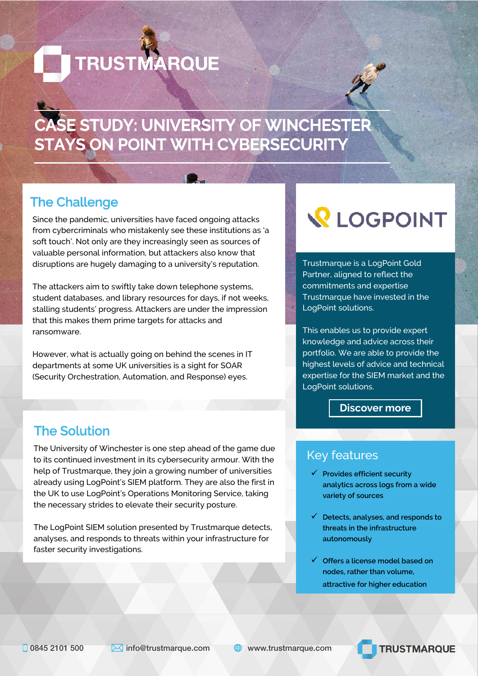**TRUSTMARQUE** 



## **CASE STUDY: UNIVERSITY OF WINCHESTER STAYS ON POINT WITH CYBERSECURITY**

## The Challenge

Since the pandemic, universities have faced ongoing attacks from cybercriminals who mistakenly see these institutions as 'a soft touch'. Not only are they increasingly seen as sources of valuable personal information, but attackers also know that disruptions are hugely damaging to a university's reputation.

The attackers aim to swiftly take down telephone systems, student databases, and library resources for days, if not weeks, stalling students' progress. Attackers are under the impression that this makes them prime targets for attacks and ransomware.

However, what is actually going on behind the scenes in IT departments at some UK universities is a sight for SOAR (Security Orchestration, Automation, and Response) eyes.

## The Solution

The University of Winchester is one step ahead of the game due to its continued investment in its cybersecurity armour. With the help of Trustmarque, they join a growing number of universities already using LogPoint's SIEM platform. They are also the first in the UK to use LogPoint's Operations Monitoring Service, taking the necessary strides to elevate their security posture.

The LogPoint SIEM solution presented by Trustmarque detects, analyses, and responds to threats within your infrastructure for faster security investigations.

# **Q** LOGPOINT

Trustmarque is a LogPoint Gold Partner, aligned to reflect the commitments and expertise Trustmarque have invested in the LogPoint solutions.

This enables us to provide expert knowledge and advice across their portfolio. We are able to provide the highest levels of advice and technical expertise for the SIEM market and the LogPoint solutions.

#### **[Discover more](https://www.trustmarque.com/partners/logpoint/)**

### Key features

- **Provides efficient security analytics across logs from a wide variety of sources**
- **Detects, analyses, and responds to threats in the infrastructure autonomously**
- **Offers a license model based on nodes, rather than volume, attractive for higher education**